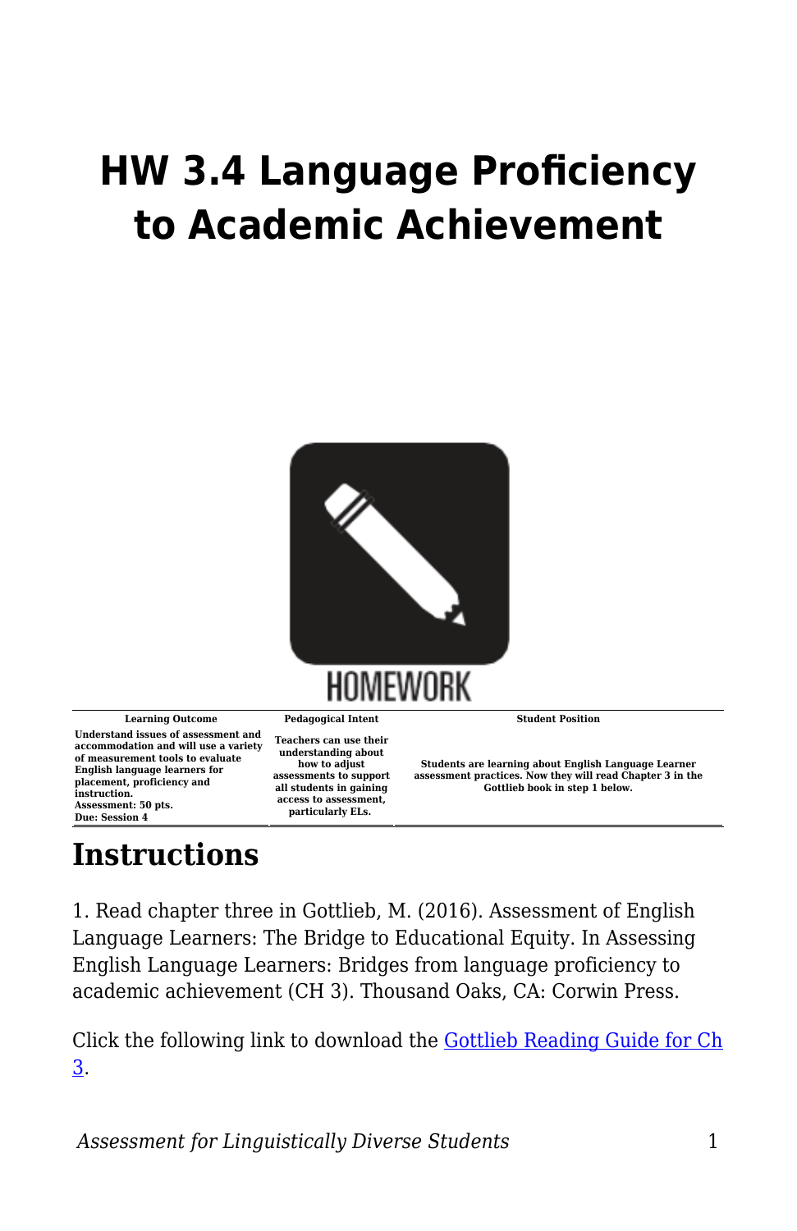## **HW 3.4 Language Proficiency to Academic Achievement**



**Learning Outcome Pedagogical Intent Student Position Understand issues of assessment and accommodation and will use a variety of measurement tools to evaluate English language learners for placement, proficiency and instruction. Assessment: 50 pts. Due: Session 4**

**Teachers can use their understanding about how to adjust assessments to support all students in gaining access to assessment, particularly ELs.** 

**Students are learning about English Language Learner assessment practices. Now they will read Chapter 3 in the Gottlieb book in step 1 below.**

## **Instructions**

1. Read chapter three in Gottlieb, M. (2016). Assessment of English Language Learners: The Bridge to Educational Equity. In Assessing English Language Learners: Bridges from language proficiency to academic achievement (CH 3). Thousand Oaks, CA: Corwin Press.

Click the following link to download the [Gottlieb Reading Guide for Ch](https://byu.box.com/s/wbudroq8qhxa7tm7pejwmx0x0z7flxcf) [3.](https://byu.box.com/s/wbudroq8qhxa7tm7pejwmx0x0z7flxcf)